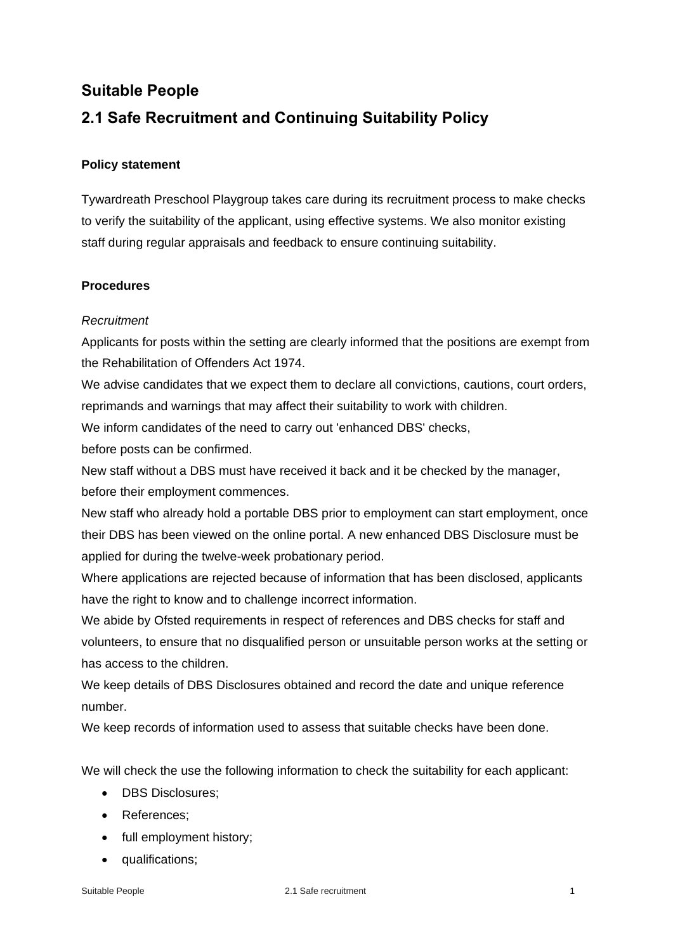# **Suitable People 2.1 Safe Recruitment and Continuing Suitability Policy**

## **Policy statement**

Tywardreath Preschool Playgroup takes care during its recruitment process to make checks to verify the suitability of the applicant, using effective systems. We also monitor existing staff during regular appraisals and feedback to ensure continuing suitability.

## **Procedures**

### *Recruitment*

Applicants for posts within the setting are clearly informed that the positions are exempt from the Rehabilitation of Offenders Act 1974.

We advise candidates that we expect them to declare all convictions, cautions, court orders, reprimands and warnings that may affect their suitability to work with children.

We inform candidates of the need to carry out 'enhanced DBS' checks,

before posts can be confirmed.

New staff without a DBS must have received it back and it be checked by the manager, before their employment commences.

New staff who already hold a portable DBS prior to employment can start employment, once their DBS has been viewed on the online portal. A new enhanced DBS Disclosure must be applied for during the twelve-week probationary period.

Where applications are rejected because of information that has been disclosed, applicants have the right to know and to challenge incorrect information.

We abide by Ofsted requirements in respect of references and DBS checks for staff and volunteers, to ensure that no disqualified person or unsuitable person works at the setting or has access to the children.

We keep details of DBS Disclosures obtained and record the date and unique reference number.

We keep records of information used to assess that suitable checks have been done.

We will check the use the following information to check the suitability for each applicant:

- DBS Disclosures;
- References;
- full employment history;
- qualifications;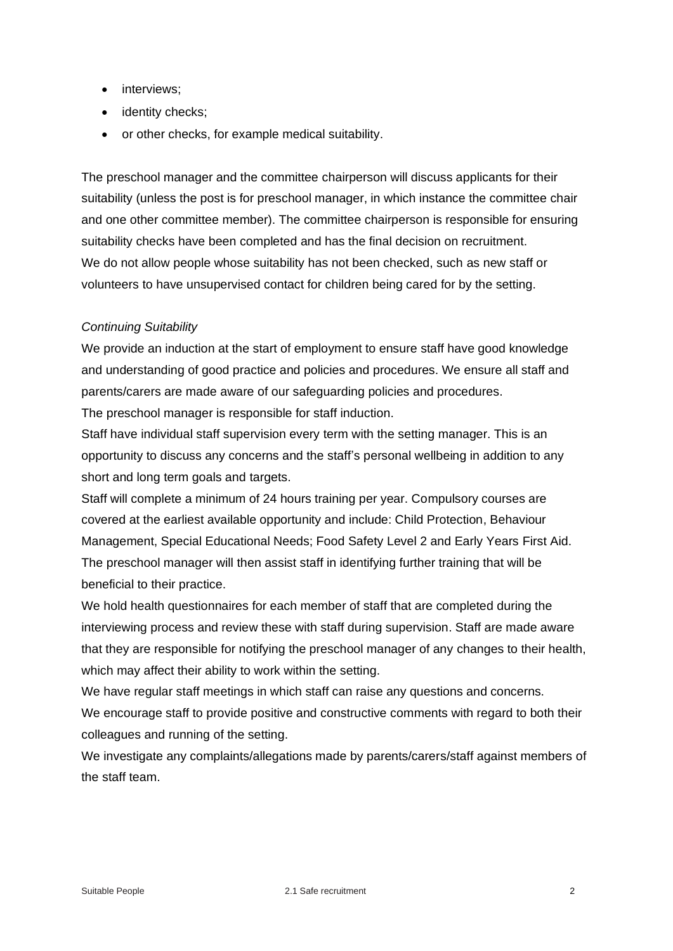- interviews;
- identity checks;
- or other checks, for example medical suitability.

The preschool manager and the committee chairperson will discuss applicants for their suitability (unless the post is for preschool manager, in which instance the committee chair and one other committee member). The committee chairperson is responsible for ensuring suitability checks have been completed and has the final decision on recruitment. We do not allow people whose suitability has not been checked, such as new staff or volunteers to have unsupervised contact for children being cared for by the setting.

### *Continuing Suitability*

We provide an induction at the start of employment to ensure staff have good knowledge and understanding of good practice and policies and procedures. We ensure all staff and parents/carers are made aware of our safeguarding policies and procedures.

The preschool manager is responsible for staff induction.

Staff have individual staff supervision every term with the setting manager. This is an opportunity to discuss any concerns and the staff's personal wellbeing in addition to any short and long term goals and targets.

Staff will complete a minimum of 24 hours training per year. Compulsory courses are covered at the earliest available opportunity and include: Child Protection, Behaviour Management, Special Educational Needs; Food Safety Level 2 and Early Years First Aid. The preschool manager will then assist staff in identifying further training that will be beneficial to their practice.

We hold health questionnaires for each member of staff that are completed during the interviewing process and review these with staff during supervision. Staff are made aware that they are responsible for notifying the preschool manager of any changes to their health, which may affect their ability to work within the setting.

We have regular staff meetings in which staff can raise any questions and concerns. We encourage staff to provide positive and constructive comments with regard to both their colleagues and running of the setting.

We investigate any complaints/allegations made by parents/carers/staff against members of the staff team.